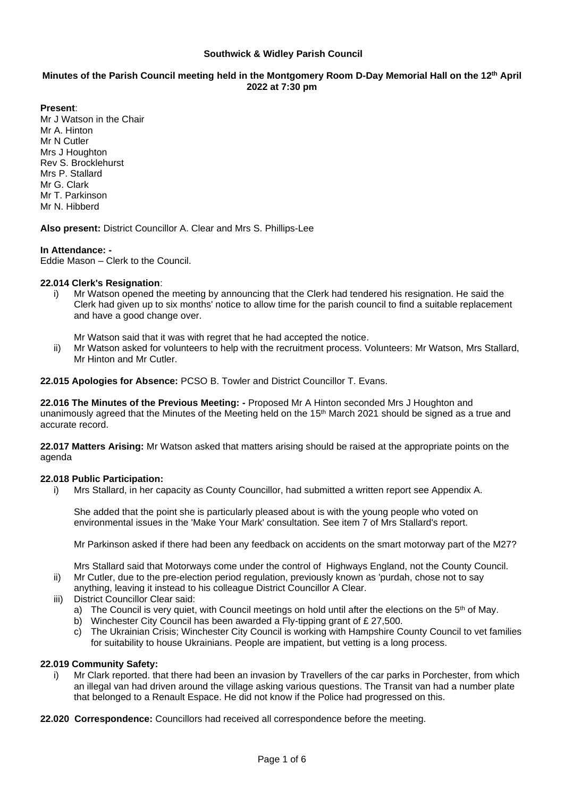### **Southwick & Widley Parish Council**

# **Minutes of the Parish Council meeting held in the Montgomery Room D-Day Memorial Hall on the 12 th April 2022 at 7:30 pm**

**Present**:

Mr J Watson in the Chair Mr A. Hinton Mr N Cutler Mrs J Houghton Rev S. Brocklehurst Mrs P. Stallard Mr G. Clark Mr T. Parkinson Mr N. Hibberd

**Also present:** District Councillor A. Clear and Mrs S. Phillips-Lee

## **In Attendance: -**

Eddie Mason – Clerk to the Council.

### **22.014 Clerk's Resignation**:

- i) Mr Watson opened the meeting by announcing that the Clerk had tendered his resignation. He said the Clerk had given up to six months' notice to allow time for the parish council to find a suitable replacement and have a good change over.
	- Mr Watson said that it was with regret that he had accepted the notice.
- ii) Mr Watson asked for volunteers to help with the recruitment process. Volunteers: Mr Watson, Mrs Stallard, Mr Hinton and Mr Cutler.

**22.015 Apologies for Absence:** PCSO B. Towler and District Councillor T. Evans.

**22.016 The Minutes of the Previous Meeting: -** Proposed Mr A Hinton seconded Mrs J Houghton and unanimously agreed that the Minutes of the Meeting held on the 15<sup>th</sup> March 2021 should be signed as a true and accurate record.

**22.017 Matters Arising:** Mr Watson asked that matters arising should be raised at the appropriate points on the agenda

### **22.018 Public Participation:**

i) Mrs Stallard, in her capacity as County Councillor, had submitted a written report see Appendix A.

She added that the point she is particularly pleased about is with the young people who voted on environmental issues in the 'Make Your Mark' consultation. See item 7 of Mrs Stallard's report.

Mr Parkinson asked if there had been any feedback on accidents on the smart motorway part of the M27?

Mrs Stallard said that Motorways come under the control of Highways England, not the County Council. ii) Mr Cutler, due to the pre-election period regulation, previously known as 'purdah, chose not to say

- anything, leaving it instead to his colleague District Councillor A Clear.
- iii) District Councillor Clear said:
	- a) The Council is very quiet, with Council meetings on hold until after the elections on the  $5<sup>th</sup>$  of May.
	- b) Winchester City Council has been awarded a Fly-tipping grant of £ 27,500.
	- c) The Ukrainian Crisis; Winchester City Council is working with Hampshire County Council to vet families for suitability to house Ukrainians. People are impatient, but vetting is a long process.

### **22.019 Community Safety:**

- i) Mr Clark reported. that there had been an invasion by Travellers of the car parks in Porchester, from which an illegal van had driven around the village asking various questions. The Transit van had a number plate that belonged to a Renault Espace. He did not know if the Police had progressed on this.
- **22.020 Correspondence:** Councillors had received all correspondence before the meeting.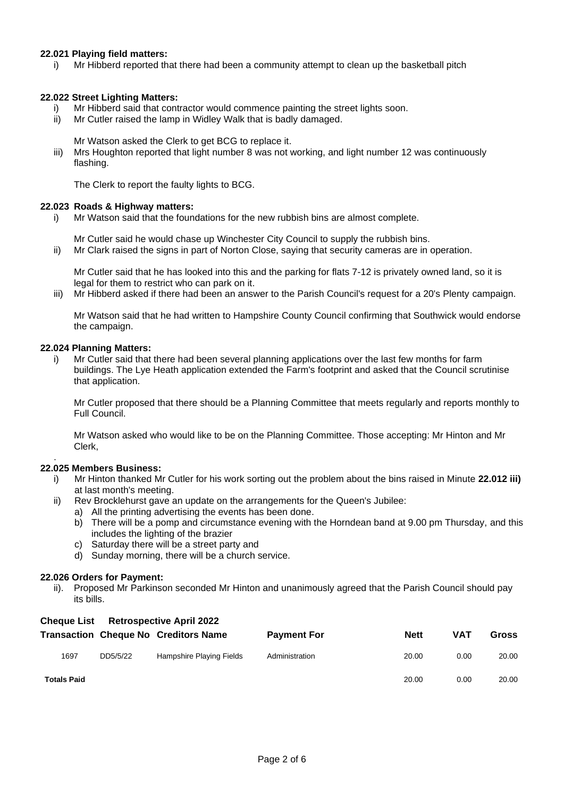## **22.021 Playing field matters:**

i) Mr Hibberd reported that there had been a community attempt to clean up the basketball pitch

### **22.022 Street Lighting Matters:**

- i) Mr Hibberd said that contractor would commence painting the street lights soon.
- ii) Mr Cutler raised the lamp in Widley Walk that is badly damaged.

Mr Watson asked the Clerk to get BCG to replace it.

iii) Mrs Houghton reported that light number 8 was not working, and light number 12 was continuously flashing.

The Clerk to report the faulty lights to BCG.

### **22.023 Roads & Highway matters:**

i) Mr Watson said that the foundations for the new rubbish bins are almost complete.

Mr Cutler said he would chase up Winchester City Council to supply the rubbish bins.

ii) Mr Clark raised the signs in part of Norton Close, saying that security cameras are in operation.

Mr Cutler said that he has looked into this and the parking for flats 7-12 is privately owned land, so it is legal for them to restrict who can park on it.

iii) Mr Hibberd asked if there had been an answer to the Parish Council's request for a 20's Plenty campaign.

Mr Watson said that he had written to Hampshire County Council confirming that Southwick would endorse the campaign.

### **22.024 Planning Matters:**

i) Mr Cutler said that there had been several planning applications over the last few months for farm buildings. The Lye Heath application extended the Farm's footprint and asked that the Council scrutinise that application.

Mr Cutler proposed that there should be a Planning Committee that meets regularly and reports monthly to Full Council.

Mr Watson asked who would like to be on the Planning Committee. Those accepting: Mr Hinton and Mr Clerk,

### **22.025 Members Business:**

.

- i) Mr Hinton thanked Mr Cutler for his work sorting out the problem about the bins raised in Minute **22.012 iii)**  at last month's meeting.
- ii) Rev Brocklehurst gave an update on the arrangements for the Queen's Jubilee:
	- a) All the printing advertising the events has been done.
	- b) There will be a pomp and circumstance evening with the Horndean band at 9.00 pm Thursday, and this includes the lighting of the brazier
	- c) Saturday there will be a street party and
	- d) Sunday morning, there will be a church service.

### **22.026 Orders for Payment:**

ii). Proposed Mr Parkinson seconded Mr Hinton and unanimously agreed that the Parish Council should pay its bills.

### **Cheque List Retrospective April 2022**

|                    |          | <b>Transaction Cheque No Creditors Name</b> | <b>Payment For</b> | <b>Nett</b> | <b>VAT</b> | <b>Gross</b> |
|--------------------|----------|---------------------------------------------|--------------------|-------------|------------|--------------|
| 1697               | DD5/5/22 | Hampshire Playing Fields                    | Administration     | 20.00       | 0.00       | 20.00        |
| <b>Totals Paid</b> |          |                                             |                    | 20.00       | 0.00       | 20.00        |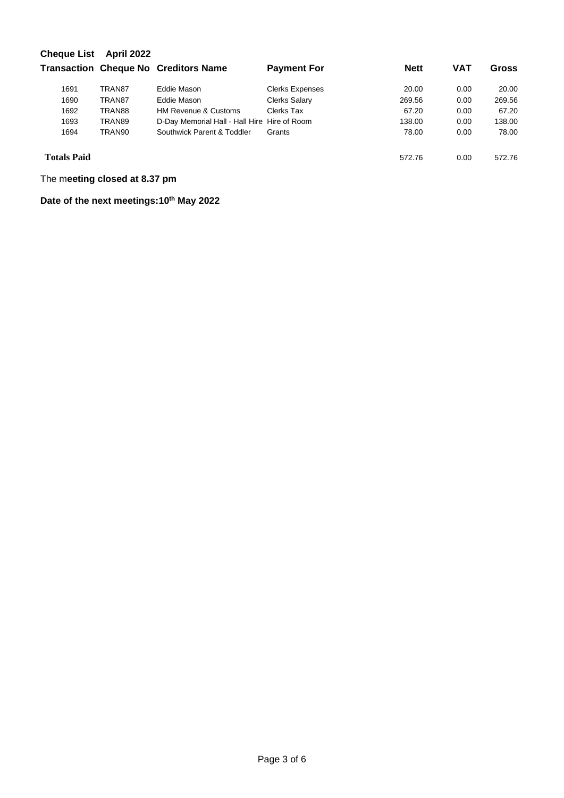| <b>Cheque List</b> | <b>April 2022</b> | <b>Transaction Cheque No Creditors Name</b>  | <b>Payment For</b> | <b>Nett</b> | <b>VAT</b> | Gross  |
|--------------------|-------------------|----------------------------------------------|--------------------|-------------|------------|--------|
|                    |                   |                                              |                    |             |            |        |
| 1690               | TRAN87            | Eddie Mason                                  | Clerks Salary      | 269.56      | 0.00       | 269.56 |
| 1692               | TRAN88            | <b>HM Revenue &amp; Customs</b>              | Clerks Tax         | 67.20       | 0.00       | 67.20  |
| 1693               | TRAN89            | D-Day Memorial Hall - Hall Hire Hire of Room |                    | 138.00      | 0.00       | 138.00 |
| 1694               | TRAN90            | Southwick Parent & Toddler                   | Grants             | 78.00       | 0.00       | 78.00  |
| <b>Totals Paid</b> |                   |                                              |                    | 572.76      | 0.00       | 572.76 |

The m**eeting closed at 8.37 pm**

**Date of the next meetings:10 th May 2022**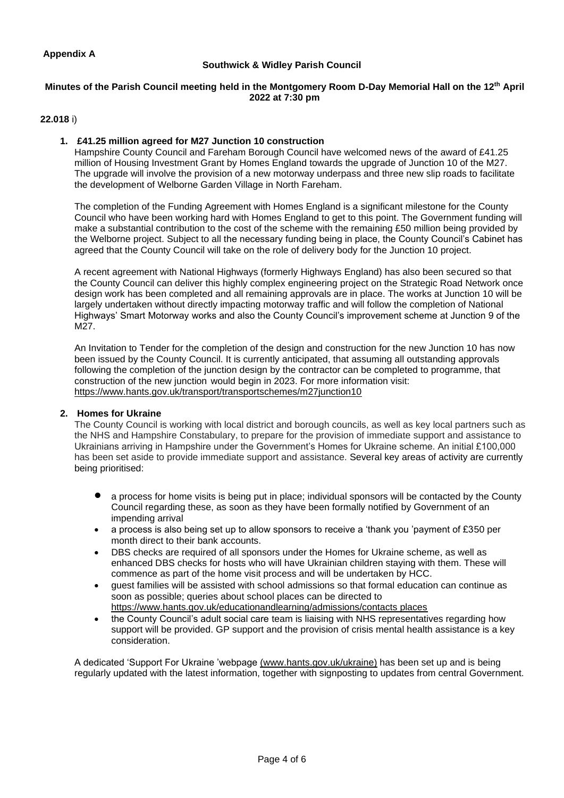# **Southwick & Widley Parish Council**

### **Minutes of the Parish Council meeting held in the Montgomery Room D-Day Memorial Hall on the 12th April 2022 at 7:30 pm**

## **22.018** i)

## **1. £41.25 million agreed for M27 Junction 10 construction**

Hampshire County Council and Fareham Borough Council have welcomed news of the award of £41.25 million of Housing Investment Grant by Homes England towards the upgrade of Junction 10 of the M27. The upgrade will involve the provision of a new motorway underpass and three new slip roads to facilitate the development of Welborne Garden Village in North Fareham.

The completion of the Funding Agreement with Homes England is a significant milestone for the County Council who have been working hard with Homes England to get to this point. The Government funding will make a substantial contribution to the cost of the scheme with the remaining £50 million being provided by the Welborne project. Subject to all the necessary funding being in place, the County Council's Cabinet has agreed that the County Council will take on the role of delivery body for the Junction 10 project.

A recent agreement with National Highways (formerly Highways England) has also been secured so that the County Council can deliver this highly complex engineering project on the Strategic Road Network once design work has been completed and all remaining approvals are in place. The works at Junction 10 will be largely undertaken without directly impacting motorway traffic and will follow the completion of National Highways' Smart Motorway works and also the County Council's improvement scheme at Junction 9 of the M27.

An Invitation to Tender for the completion of the design and construction for the new Junction 10 has now been issued by the County Council. It is currently anticipated, that assuming all outstanding approvals following the completion of the junction design by the contractor can be completed to programme, that construction of the new junction would begin in 2023. For more information visit: https://www.hants.gov.uk/transport/transportschemes/m27junction10

## **2. Homes for Ukraine**

The County Council is working with local district and borough councils, as well as key local partners such as the NHS and Hampshire Constabulary, to prepare for the provision of immediate support and assistance to Ukrainians arriving in Hampshire under the Government's Homes for Ukraine scheme. An initial £100,000 has been set aside to provide immediate support and assistance. Several key areas of activity are currently being prioritised:

- a process for home visits is being put in place; individual sponsors will be contacted by the County Council regarding these, as soon as they have been formally notified by Government of an impending arrival
- a process is also being set up to allow sponsors to receive a 'thank you 'payment of £350 per month direct to their bank accounts.
- DBS checks are required of all sponsors under the Homes for Ukraine scheme, as well as enhanced DBS checks for hosts who will have Ukrainian children staying with them. These will commence as part of the home visit process and will be undertaken by HCC.
- guest families will be assisted with school admissions so that formal education can continue as soon as possible; queries about school places can be directed to [https://www.hants.gov.uk/educationandlearning/admissions/contacts places](https://www.hants.gov.uk/educationandlearning/admissions/contacts_places)
- the County Council's adult social care team is liaising with NHS representatives regarding how support will be provided. GP support and the provision of crisis mental health assistance is a key consideration.

A dedicated 'Support For Ukraine 'webpage [\(www.hants.gov.uk/ukraine\)](http://www.hants.gov.uk/ukraine) has been set up and is being regularly updated with the latest information, together with signposting to updates from central Government.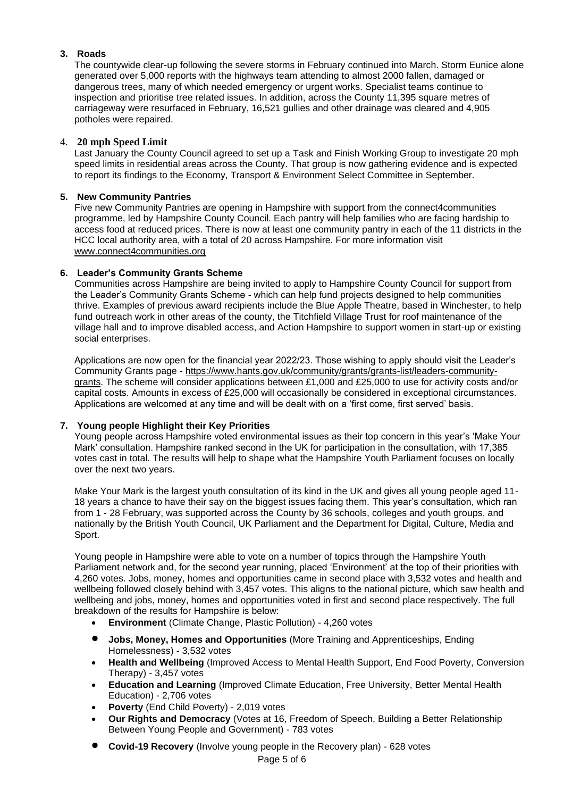# **3. Roads**

The countywide clear-up following the severe storms in February continued into March. Storm Eunice alone generated over 5,000 reports with the highways team attending to almost 2000 fallen, damaged or dangerous trees, many of which needed emergency or urgent works. Specialist teams continue to inspection and prioritise tree related issues. In addition, across the County 11,395 square metres of carriageway were resurfaced in February, 16,521 gullies and other drainage was cleared and 4,905 potholes were repaired.

# 4. **20 mph Speed Limit**

Last January the County Council agreed to set up a Task and Finish Working Group to investigate 20 mph speed limits in residential areas across the County. That group is now gathering evidence and is expected to report its findings to the Economy, Transport & Environment Select Committee in September.

# **5. New Community Pantries**

Five new Community Pantries are opening in Hampshire with support from the connect4communities programme, led by Hampshire County Council. Each pantry will help families who are facing hardship to access food at reduced prices. There is now at least one community pantry in each of the 11 districts in the HCC local authority area, with a total of 20 across Hampshire. For more information visit www.connect4communities.org

# **6. Leader's Community Grants Scheme**

Communities across Hampshire are being invited to apply to Hampshire County Council for support from the Leader's Community Grants Scheme - which can help fund projects designed to help communities thrive. Examples of previous award recipients include the Blue Apple Theatre, based in Winchester, to help fund outreach work in other areas of the county, the Titchfield Village Trust for roof maintenance of the village hall and to improve disabled access, and Action Hampshire to support women in start-up or existing social enterprises.

Applications are now open for the financial year 2022/23. Those wishing to apply should visit the Leader's Community Grants page - [https://www.hants.gov.uk/community/grants/grants-list/leaders-community](https://www.hants.gov.uk/community/grants/grants-list/leaders-community-grants)[grants.](https://www.hants.gov.uk/community/grants/grants-list/leaders-community-grants) The scheme will consider applications between £1,000 and £25,000 to use for activity costs and/or capital costs. Amounts in excess of £25,000 will occasionally be considered in exceptional circumstances. Applications are welcomed at any time and will be dealt with on a 'first come, first served' basis.

## **7. Young people Highlight their Key Priorities**

Young people across Hampshire voted environmental issues as their top concern in this year's 'Make Your Mark' consultation. Hampshire ranked second in the UK for participation in the consultation, with 17,385 votes cast in total. The results will help to shape what the Hampshire Youth Parliament focuses on locally over the next two years.

Make Your Mark is the largest youth consultation of its kind in the UK and gives all young people aged 11- 18 years a chance to have their say on the biggest issues facing them. This year's consultation, which ran from 1 - 28 February, was supported across the County by 36 schools, colleges and youth groups, and nationally by the British Youth Council, UK Parliament and the Department for Digital, Culture, Media and Sport.

Young people in Hampshire were able to vote on a number of topics through the Hampshire Youth Parliament network and, for the second year running, placed 'Environment' at the top of their priorities with 4,260 votes. Jobs, money, homes and opportunities came in second place with 3,532 votes and health and wellbeing followed closely behind with 3,457 votes. This aligns to the national picture, which saw health and wellbeing and jobs, money, homes and opportunities voted in first and second place respectively. The full breakdown of the results for Hampshire is below:

- **Environment** (Climate Change, Plastic Pollution) 4,260 votes
- **Jobs, Money, Homes and Opportunities** (More Training and Apprenticeships, Ending Homelessness) - 3,532 votes
- **Health and Wellbeing** (Improved Access to Mental Health Support, End Food Poverty, Conversion Therapy) - 3,457 votes
- **Education and Learning** (Improved Climate Education, Free University, Better Mental Health Education) - 2,706 votes
- **Poverty** (End Child Poverty) 2,019 votes
- **Our Rights and Democracy** (Votes at 16, Freedom of Speech, Building a Better Relationship Between Young People and Government) - 783 votes
- Page 5 of 6 • **Covid-19 Recovery** (Involve young people in the Recovery plan) - 628 votes